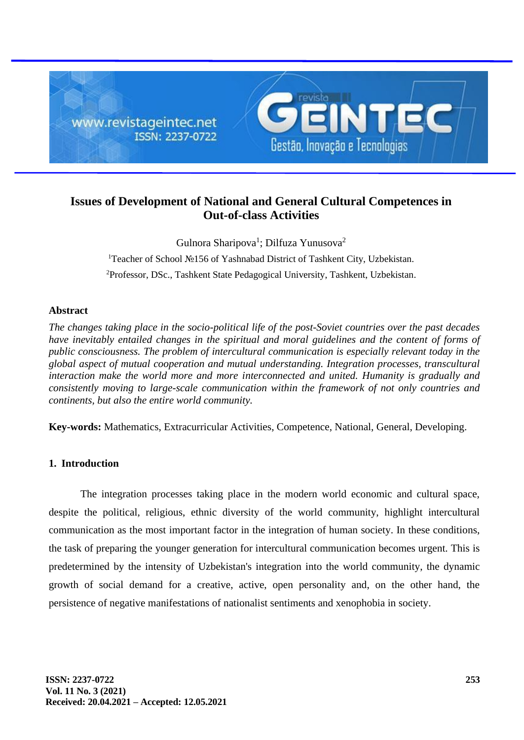

# **Issues of Development of National and General Cultural Competences in Out-of-class Activities**

Gulnora Sharipova<sup>1</sup>; Dilfuza Yunusova<sup>2</sup> <sup>1</sup>Teacher of School №156 of Yashnabad District of Tashkent City, Uzbekistan. <sup>2</sup>Professor, DSc., Tashkent State Pedagogical University, Tashkent, Uzbekistan.

## **Abstract**

*The changes taking place in the socio-political life of the post-Soviet countries over the past decades have inevitably entailed changes in the spiritual and moral guidelines and the content of forms of public consciousness. The problem of intercultural communication is especially relevant today in the global aspect of mutual cooperation and mutual understanding. Integration processes, transcultural interaction make the world more and more interconnected and united. Humanity is gradually and consistently moving to large-scale communication within the framework of not only countries and continents, but also the entire world community.*

**Key-words:** Mathematics, Extracurricular Activities, Competence, National, General, Developing.

## **1. Introduction**

The integration processes taking place in the modern world economic and cultural space, despite the political, religious, ethnic diversity of the world community, highlight intercultural communication as the most important factor in the integration of human society. In these conditions, the task of preparing the younger generation for intercultural communication becomes urgent. This is predetermined by the intensity of Uzbekistan's integration into the world community, the dynamic growth of social demand for a creative, active, open personality and, on the other hand, the persistence of negative manifestations of nationalist sentiments and xenophobia in society.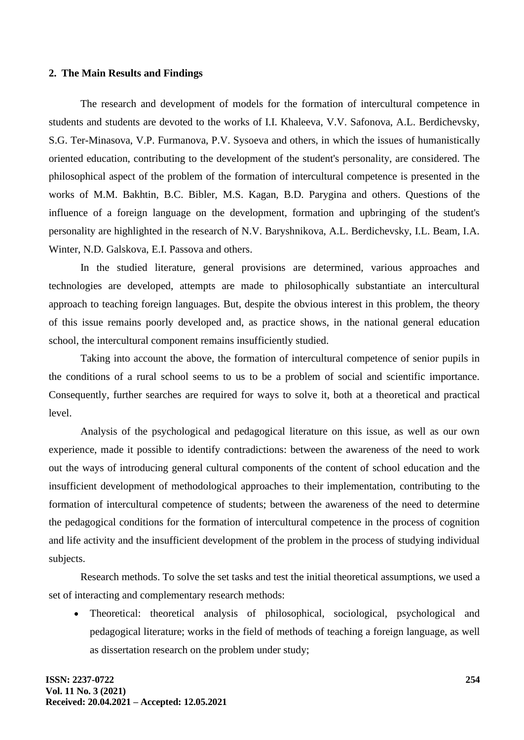#### **2. The Main Results and Findings**

The research and development of models for the formation of intercultural competence in students and students are devoted to the works of I.I. Khaleeva, V.V. Safonova, A.L. Berdichevsky, S.G. Ter-Minasova, V.P. Furmanova, P.V. Sysoeva and others, in which the issues of humanistically oriented education, contributing to the development of the student's personality, are considered. The philosophical aspect of the problem of the formation of intercultural competence is presented in the works of M.M. Bakhtin, B.C. Bibler, M.S. Kagan, B.D. Parygina and others. Questions of the influence of a foreign language on the development, formation and upbringing of the student's personality are highlighted in the research of N.V. Baryshnikova, A.L. Berdichevsky, I.L. Beam, I.A. Winter, N.D. Galskova, E.I. Passova and others.

In the studied literature, general provisions are determined, various approaches and technologies are developed, attempts are made to philosophically substantiate an intercultural approach to teaching foreign languages. But, despite the obvious interest in this problem, the theory of this issue remains poorly developed and, as practice shows, in the national general education school, the intercultural component remains insufficiently studied.

Taking into account the above, the formation of intercultural competence of senior pupils in the conditions of a rural school seems to us to be a problem of social and scientific importance. Consequently, further searches are required for ways to solve it, both at a theoretical and practical level.

Analysis of the psychological and pedagogical literature on this issue, as well as our own experience, made it possible to identify contradictions: between the awareness of the need to work out the ways of introducing general cultural components of the content of school education and the insufficient development of methodological approaches to their implementation, contributing to the formation of intercultural competence of students; between the awareness of the need to determine the pedagogical conditions for the formation of intercultural competence in the process of cognition and life activity and the insufficient development of the problem in the process of studying individual subjects.

Research methods. To solve the set tasks and test the initial theoretical assumptions, we used a set of interacting and complementary research methods:

• Theoretical: theoretical analysis of philosophical, sociological, psychological and pedagogical literature; works in the field of methods of teaching a foreign language, as well as dissertation research on the problem under study;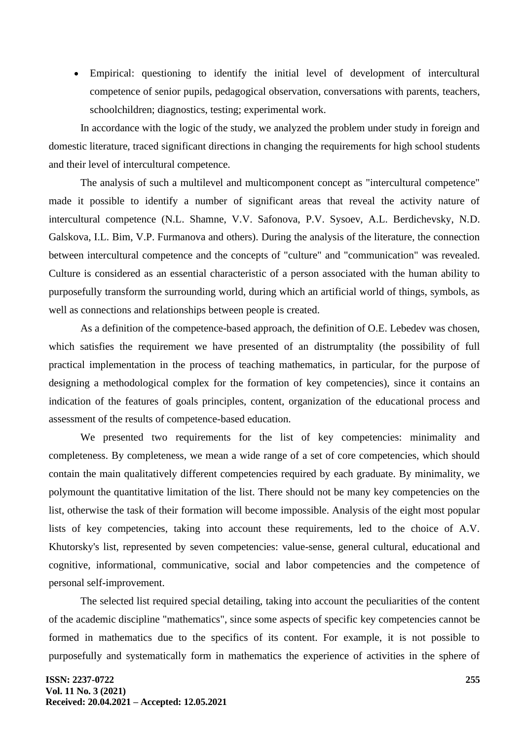• Empirical: questioning to identify the initial level of development of intercultural competence of senior pupils, pedagogical observation, conversations with parents, teachers, schoolchildren; diagnostics, testing; experimental work.

In accordance with the logic of the study, we analyzed the problem under study in foreign and domestic literature, traced significant directions in changing the requirements for high school students and their level of intercultural competence.

The analysis of such a multilevel and multicomponent concept as "intercultural competence" made it possible to identify a number of significant areas that reveal the activity nature of intercultural competence (N.L. Shamne, V.V. Safonova, P.V. Sysoev, A.L. Berdichevsky, N.D. Galskova, I.L. Bim, V.P. Furmanova and others). During the analysis of the literature, the connection between intercultural competence and the concepts of "culture" and "communication" was revealed. Culture is considered as an essential characteristic of a person associated with the human ability to purposefully transform the surrounding world, during which an artificial world of things, symbols, as well as connections and relationships between people is created.

As a definition of the competence-based approach, the definition of O.E. Lebedev was chosen, which satisfies the requirement we have presented of an distrumptality (the possibility of full practical implementation in the process of teaching mathematics, in particular, for the purpose of designing a methodological complex for the formation of key competencies), since it contains an indication of the features of goals principles, content, organization of the educational process and assessment of the results of competence-based education.

We presented two requirements for the list of key competencies: minimality and completeness. By completeness, we mean a wide range of a set of core competencies, which should contain the main qualitatively different competencies required by each graduate. By minimality, we polymount the quantitative limitation of the list. There should not be many key competencies on the list, otherwise the task of their formation will become impossible. Analysis of the eight most popular lists of key competencies, taking into account these requirements, led to the choice of A.V. Khutorsky's list, represented by seven competencies: value-sense, general cultural, educational and cognitive, informational, communicative, social and labor competencies and the competence of personal self-improvement.

The selected list required special detailing, taking into account the peculiarities of the content of the academic discipline "mathematics", since some aspects of specific key competencies cannot be formed in mathematics due to the specifics of its content. For example, it is not possible to purposefully and systematically form in mathematics the experience of activities in the sphere of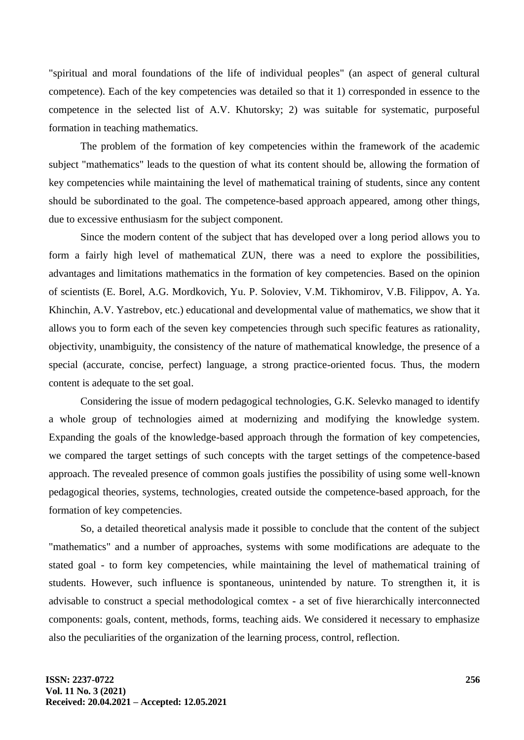"spiritual and moral foundations of the life of individual peoples" (an aspect of general cultural competence). Each of the key competencies was detailed so that it 1) corresponded in essence to the competence in the selected list of A.V. Khutorsky; 2) was suitable for systematic, purposeful formation in teaching mathematics.

The problem of the formation of key competencies within the framework of the academic subject "mathematics" leads to the question of what its content should be, allowing the formation of key competencies while maintaining the level of mathematical training of students, since any content should be subordinated to the goal. The competence-based approach appeared, among other things, due to excessive enthusiasm for the subject component.

Since the modern content of the subject that has developed over a long period allows you to form a fairly high level of mathematical ZUN, there was a need to explore the possibilities, advantages and limitations mathematics in the formation of key competencies. Based on the opinion of scientists (E. Borel, A.G. Mordkovich, Yu. P. Soloviev, V.M. Tikhomirov, V.B. Filippov, A. Ya. Khinchin, A.V. Yastrebov, etc.) educational and developmental value of mathematics, we show that it allows you to form each of the seven key competencies through such specific features as rationality, objectivity, unambiguity, the consistency of the nature of mathematical knowledge, the presence of a special (accurate, concise, perfect) language, a strong practice-oriented focus. Thus, the modern content is adequate to the set goal.

Considering the issue of modern pedagogical technologies, G.K. Selevko managed to identify a whole group of technologies aimed at modernizing and modifying the knowledge system. Expanding the goals of the knowledge-based approach through the formation of key competencies, we compared the target settings of such concepts with the target settings of the competence-based approach. The revealed presence of common goals justifies the possibility of using some well-known pedagogical theories, systems, technologies, created outside the competence-based approach, for the formation of key competencies.

So, a detailed theoretical analysis made it possible to conclude that the content of the subject "mathematics" and a number of approaches, systems with some modifications are adequate to the stated goal - to form key competencies, while maintaining the level of mathematical training of students. However, such influence is spontaneous, unintended by nature. To strengthen it, it is advisable to construct a special methodological comtex - a set of five hierarchically interconnected components: goals, content, methods, forms, teaching aids. We considered it necessary to emphasize also the peculiarities of the organization of the learning process, control, reflection.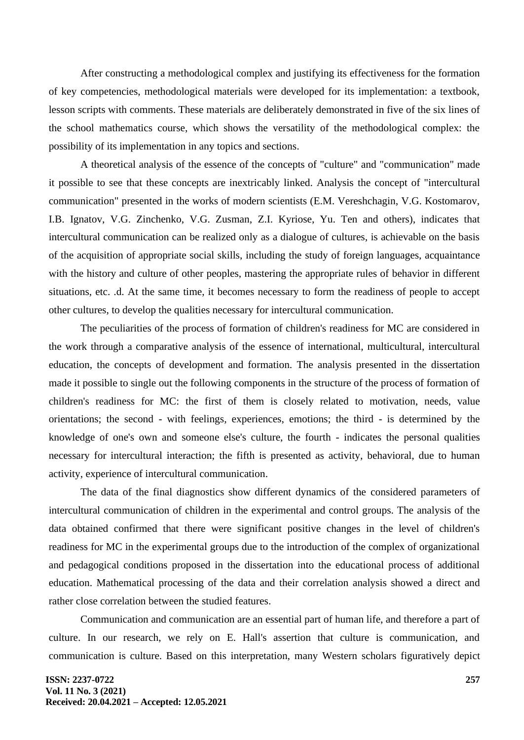After constructing a methodological complex and justifying its effectiveness for the formation of key competencies, methodological materials were developed for its implementation: a textbook, lesson scripts with comments. These materials are deliberately demonstrated in five of the six lines of the school mathematics course, which shows the versatility of the methodological complex: the possibility of its implementation in any topics and sections.

A theoretical analysis of the essence of the concepts of "culture" and "communication" made it possible to see that these concepts are inextricably linked. Analysis the concept of "intercultural communication" presented in the works of modern scientists (E.M. Vereshchagin, V.G. Kostomarov, I.B. Ignatov, V.G. Zinchenko, V.G. Zusman, Z.I. Kyriose, Yu. Ten and others), indicates that intercultural communication can be realized only as a dialogue of cultures, is achievable on the basis of the acquisition of appropriate social skills, including the study of foreign languages, acquaintance with the history and culture of other peoples, mastering the appropriate rules of behavior in different situations, etc. .d. At the same time, it becomes necessary to form the readiness of people to accept other cultures, to develop the qualities necessary for intercultural communication.

The peculiarities of the process of formation of children's readiness for MC are considered in the work through a comparative analysis of the essence of international, multicultural, intercultural education, the concepts of development and formation. The analysis presented in the dissertation made it possible to single out the following components in the structure of the process of formation of children's readiness for MC: the first of them is closely related to motivation, needs, value orientations; the second - with feelings, experiences, emotions; the third - is determined by the knowledge of one's own and someone else's culture, the fourth - indicates the personal qualities necessary for intercultural interaction; the fifth is presented as activity, behavioral, due to human activity, experience of intercultural communication.

The data of the final diagnostics show different dynamics of the considered parameters of intercultural communication of children in the experimental and control groups. The analysis of the data obtained confirmed that there were significant positive changes in the level of children's readiness for MC in the experimental groups due to the introduction of the complex of organizational and pedagogical conditions proposed in the dissertation into the educational process of additional education. Mathematical processing of the data and their correlation analysis showed a direct and rather close correlation between the studied features.

Communication and communication are an essential part of human life, and therefore a part of culture. In our research, we rely on E. Hall's assertion that culture is communication, and communication is culture. Based on this interpretation, many Western scholars figuratively depict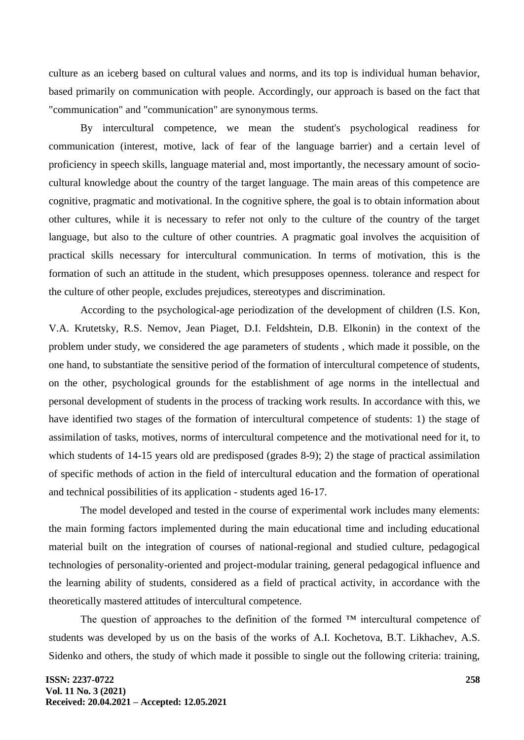culture as an iceberg based on cultural values and norms, and its top is individual human behavior, based primarily on communication with people. Accordingly, our approach is based on the fact that "communication" and "communication" are synonymous terms.

By intercultural competence, we mean the student's psychological readiness for communication (interest, motive, lack of fear of the language barrier) and a certain level of proficiency in speech skills, language material and, most importantly, the necessary amount of sociocultural knowledge about the country of the target language. The main areas of this competence are cognitive, pragmatic and motivational. In the cognitive sphere, the goal is to obtain information about other cultures, while it is necessary to refer not only to the culture of the country of the target language, but also to the culture of other countries. A pragmatic goal involves the acquisition of practical skills necessary for intercultural communication. In terms of motivation, this is the formation of such an attitude in the student, which presupposes openness. tolerance and respect for the culture of other people, excludes prejudices, stereotypes and discrimination.

According to the psychological-age periodization of the development of children (I.S. Kon, V.A. Krutetsky, R.S. Nemov, Jean Piaget, D.I. Feldshtein, D.B. Elkonin) in the context of the problem under study, we considered the age parameters of students , which made it possible, on the one hand, to substantiate the sensitive period of the formation of intercultural competence of students, on the other, psychological grounds for the establishment of age norms in the intellectual and personal development of students in the process of tracking work results. In accordance with this, we have identified two stages of the formation of intercultural competence of students: 1) the stage of assimilation of tasks, motives, norms of intercultural competence and the motivational need for it, to which students of 14-15 years old are predisposed (grades 8-9); 2) the stage of practical assimilation of specific methods of action in the field of intercultural education and the formation of operational and technical possibilities of its application - students aged 16-17.

The model developed and tested in the course of experimental work includes many elements: the main forming factors implemented during the main educational time and including educational material built on the integration of courses of national-regional and studied culture, pedagogical technologies of personality-oriented and project-modular training, general pedagogical influence and the learning ability of students, considered as a field of practical activity, in accordance with the theoretically mastered attitudes of intercultural competence.

The question of approaches to the definition of the formed ™ intercultural competence of students was developed by us on the basis of the works of A.I. Kochetova, B.T. Likhachev, A.S. Sidenko and others, the study of which made it possible to single out the following criteria: training,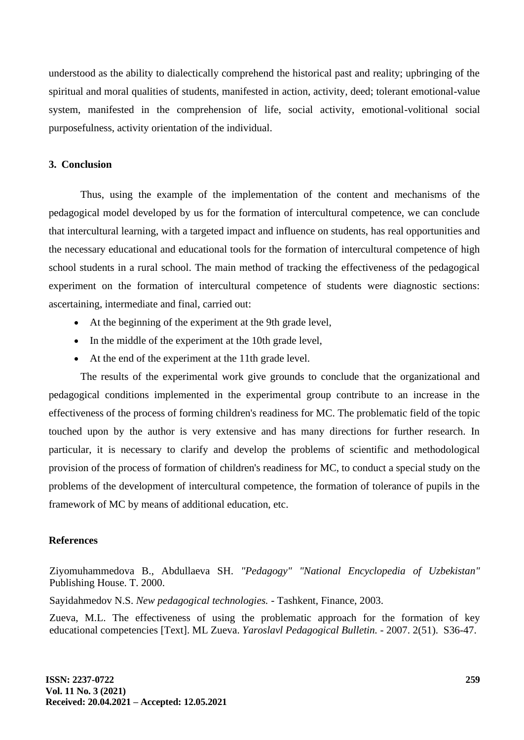understood as the ability to dialectically comprehend the historical past and reality; upbringing of the spiritual and moral qualities of students, manifested in action, activity, deed; tolerant emotional-value system, manifested in the comprehension of life, social activity, emotional-volitional social purposefulness, activity orientation of the individual.

### **3. Conclusion**

Thus, using the example of the implementation of the content and mechanisms of the pedagogical model developed by us for the formation of intercultural competence, we can conclude that intercultural learning, with a targeted impact and influence on students, has real opportunities and the necessary educational and educational tools for the formation of intercultural competence of high school students in a rural school. The main method of tracking the effectiveness of the pedagogical experiment on the formation of intercultural competence of students were diagnostic sections: ascertaining, intermediate and final, carried out:

- At the beginning of the experiment at the 9th grade level,
- In the middle of the experiment at the 10th grade level,
- At the end of the experiment at the 11th grade level.

The results of the experimental work give grounds to conclude that the organizational and pedagogical conditions implemented in the experimental group contribute to an increase in the effectiveness of the process of forming children's readiness for MC. The problematic field of the topic touched upon by the author is very extensive and has many directions for further research. In particular, it is necessary to clarify and develop the problems of scientific and methodological provision of the process of formation of children's readiness for MC, to conduct a special study on the problems of the development of intercultural competence, the formation of tolerance of pupils in the framework of MC by means of additional education, etc.

#### **References**

Ziyomuhammedova B., Abdullaeva SH. *"Pedagogy" "National Encyclopedia of Uzbekistan"* Publishing House. T. 2000.

Sayidahmedov N.S. *New pedagogical technologies.* - Tashkent, Finance, 2003.

Zueva, M.L. The effectiveness of using the problematic approach for the formation of key educational competencies [Text]. ML Zueva. *Yaroslavl Pedagogical Bulletin.* - 2007. 2(51). S36-47.